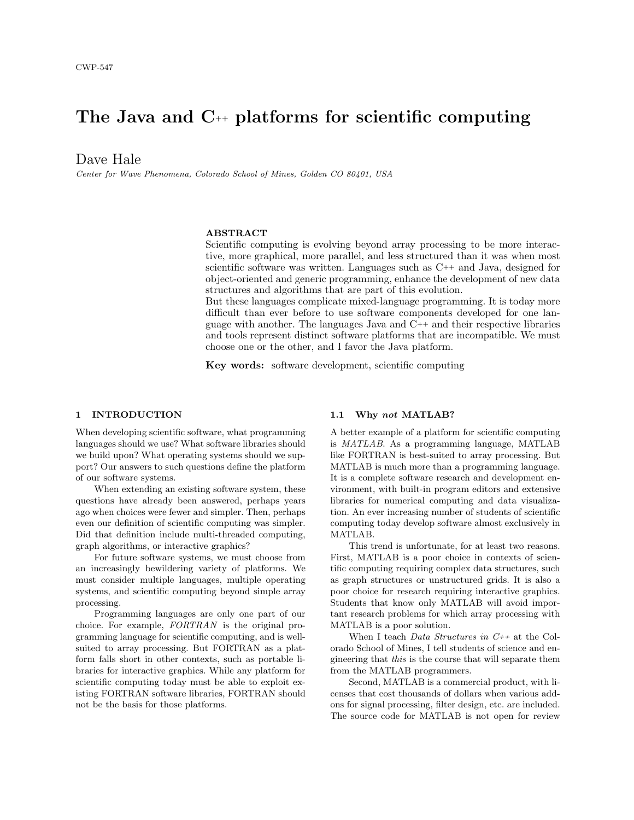# The Java and C++ platforms for scientific computing

Dave Hale

Center for Wave Phenomena, Colorado School of Mines, Golden CO 80401, USA

## ABSTRACT

Scientific computing is evolving beyond array processing to be more interactive, more graphical, more parallel, and less structured than it was when most scientific software was written. Languages such as  $C_{++}$  and Java, designed for object-oriented and generic programming, enhance the development of new data structures and algorithms that are part of this evolution.

But these languages complicate mixed-language programming. It is today more difficult than ever before to use software components developed for one language with another. The languages Java and C++ and their respective libraries and tools represent distinct software platforms that are incompatible. We must choose one or the other, and I favor the Java platform.

Key words: software development, scientific computing

## 1 INTRODUCTION

When developing scientific software, what programming languages should we use? What software libraries should we build upon? What operating systems should we support? Our answers to such questions define the platform of our software systems.

When extending an existing software system, these questions have already been answered, perhaps years ago when choices were fewer and simpler. Then, perhaps even our definition of scientific computing was simpler. Did that definition include multi-threaded computing, graph algorithms, or interactive graphics?

For future software systems, we must choose from an increasingly bewildering variety of platforms. We must consider multiple languages, multiple operating systems, and scientific computing beyond simple array processing.

Programming languages are only one part of our choice. For example, FORTRAN is the original programming language for scientific computing, and is wellsuited to array processing. But FORTRAN as a platform falls short in other contexts, such as portable libraries for interactive graphics. While any platform for scientific computing today must be able to exploit existing FORTRAN software libraries, FORTRAN should not be the basis for those platforms.

#### 1.1 Why not MATLAB?

A better example of a platform for scientific computing is MATLAB. As a programming language, MATLAB like FORTRAN is best-suited to array processing. But MATLAB is much more than a programming language. It is a complete software research and development environment, with built-in program editors and extensive libraries for numerical computing and data visualization. An ever increasing number of students of scientific computing today develop software almost exclusively in MATLAB.

This trend is unfortunate, for at least two reasons. First, MATLAB is a poor choice in contexts of scientific computing requiring complex data structures, such as graph structures or unstructured grids. It is also a poor choice for research requiring interactive graphics. Students that know only MATLAB will avoid important research problems for which array processing with MATLAB is a poor solution.

When I teach Data Structures in  $C_{++}$  at the Colorado School of Mines, I tell students of science and engineering that this is the course that will separate them from the MATLAB programmers.

Second, MATLAB is a commercial product, with licenses that cost thousands of dollars when various addons for signal processing, filter design, etc. are included. The source code for MATLAB is not open for review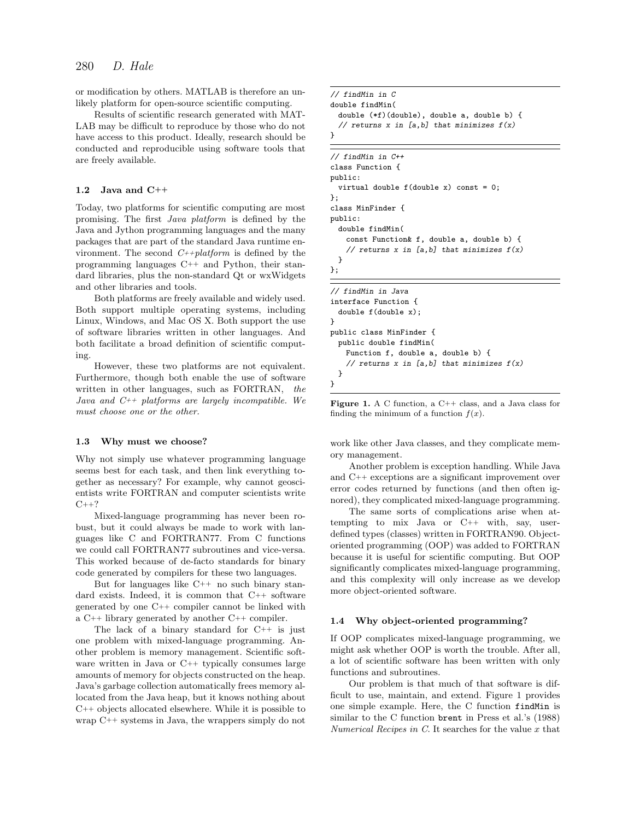or modification by others. MATLAB is therefore an unlikely platform for open-source scientific computing.

Results of scientific research generated with MAT-LAB may be difficult to reproduce by those who do not have access to this product. Ideally, research should be conducted and reproducible using software tools that are freely available.

## 1.2 Java and C++

Today, two platforms for scientific computing are most promising. The first Java platform is defined by the Java and Jython programming languages and the many packages that are part of the standard Java runtime environment. The second  $C++platform$  is defined by the programming languages C++ and Python, their standard libraries, plus the non-standard Qt or wxWidgets and other libraries and tools.

Both platforms are freely available and widely used. Both support multiple operating systems, including Linux, Windows, and Mac OS X. Both support the use of software libraries written in other languages. And both facilitate a broad definition of scientific computing.

However, these two platforms are not equivalent. Furthermore, though both enable the use of software written in other languages, such as FORTRAN, the Java and  $C_{++}$  platforms are largely incompatible. We must choose one or the other.

#### 1.3 Why must we choose?

Why not simply use whatever programming language seems best for each task, and then link everything together as necessary? For example, why cannot geoscientists write FORTRAN and computer scientists write  $C++?$ 

Mixed-language programming has never been robust, but it could always be made to work with languages like C and FORTRAN77. From C functions we could call FORTRAN77 subroutines and vice-versa. This worked because of de-facto standards for binary code generated by compilers for these two languages.

But for languages like C++ no such binary standard exists. Indeed, it is common that C++ software generated by one C++ compiler cannot be linked with a C++ library generated by another C++ compiler.

The lack of a binary standard for C++ is just one problem with mixed-language programming. Another problem is memory management. Scientific software written in Java or C++ typically consumes large amounts of memory for objects constructed on the heap. Java's garbage collection automatically frees memory allocated from the Java heap, but it knows nothing about C++ objects allocated elsewhere. While it is possible to wrap C++ systems in Java, the wrappers simply do not

```
// findMin in C
double findMin(
 double (*f)(double), double a, double b) {
 // returns x in [a,b] that minimizes f(x)}
```
// findMin in C++ class Function { public: virtual double f(double x) const = 0; }; class MinFinder { public: double findMin( const Function& f, double a, double b) { // returns  $x$  in [a,b] that minimizes  $f(x)$ } }; // findMin in Java interface Function { double f(double x); } public class MinFinder { public double findMin( Function f, double a, double b) { // returns  $x$  in [a,b] that minimizes  $f(x)$ } }

Figure 1. A C function, a C++ class, and a Java class for finding the minimum of a function  $f(x)$ .

work like other Java classes, and they complicate memory management.

Another problem is exception handling. While Java and C++ exceptions are a significant improvement over error codes returned by functions (and then often ignored), they complicated mixed-language programming.

The same sorts of complications arise when attempting to mix Java or C++ with, say, userdefined types (classes) written in FORTRAN90. Objectoriented programming (OOP) was added to FORTRAN because it is useful for scientific computing. But OOP significantly complicates mixed-language programming, and this complexity will only increase as we develop more object-oriented software.

#### 1.4 Why object-oriented programming?

If OOP complicates mixed-language programming, we might ask whether OOP is worth the trouble. After all, a lot of scientific software has been written with only functions and subroutines.

Our problem is that much of that software is difficult to use, maintain, and extend. Figure 1 provides one simple example. Here, the C function findMin is similar to the C function brent in Press et al.'s (1988) Numerical Recipes in  $C$ . It searches for the value  $x$  that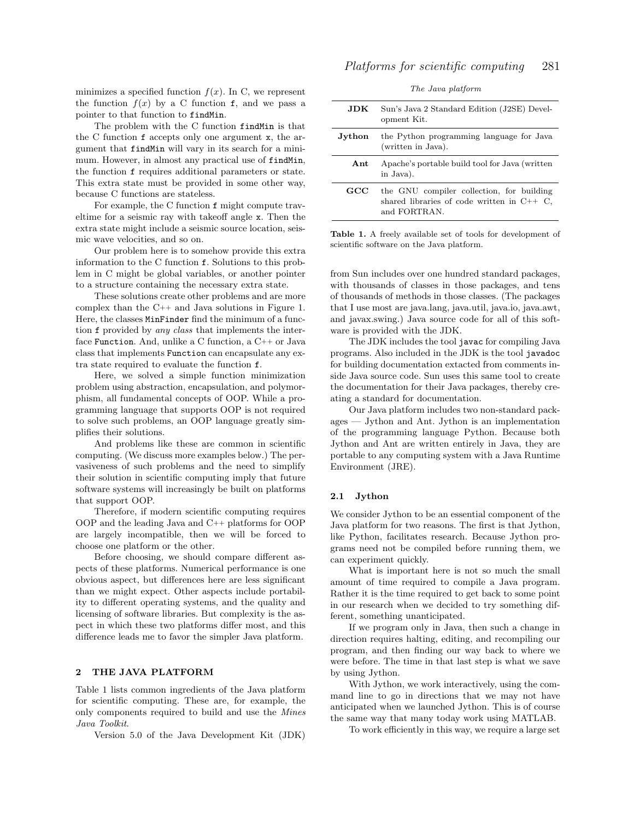minimizes a specified function  $f(x)$ . In C, we represent the function  $f(x)$  by a C function f, and we pass a pointer to that function to findMin.

The problem with the C function findMin is that the C function f accepts only one argument x, the argument that findMin will vary in its search for a minimum. However, in almost any practical use of findMin, the function f requires additional parameters or state. This extra state must be provided in some other way, because C functions are stateless.

For example, the C function f might compute traveltime for a seismic ray with takeoff angle x. Then the extra state might include a seismic source location, seismic wave velocities, and so on.

Our problem here is to somehow provide this extra information to the C function f. Solutions to this problem in C might be global variables, or another pointer to a structure containing the necessary extra state.

These solutions create other problems and are more complex than the C++ and Java solutions in Figure 1. Here, the classes MinFinder find the minimum of a function f provided by any class that implements the interface Function. And, unlike a C function, a C++ or Java class that implements Function can encapsulate any extra state required to evaluate the function f.

Here, we solved a simple function minimization problem using abstraction, encapsulation, and polymorphism, all fundamental concepts of OOP. While a programming language that supports OOP is not required to solve such problems, an OOP language greatly simplifies their solutions.

And problems like these are common in scientific computing. (We discuss more examples below.) The pervasiveness of such problems and the need to simplify their solution in scientific computing imply that future software systems will increasingly be built on platforms that support OOP.

Therefore, if modern scientific computing requires OOP and the leading Java and C++ platforms for OOP are largely incompatible, then we will be forced to choose one platform or the other.

Before choosing, we should compare different aspects of these platforms. Numerical performance is one obvious aspect, but differences here are less significant than we might expect. Other aspects include portability to different operating systems, and the quality and licensing of software libraries. But complexity is the aspect in which these two platforms differ most, and this difference leads me to favor the simpler Java platform.

#### 2 THE JAVA PLATFORM

Table 1 lists common ingredients of the Java platform for scientific computing. These are, for example, the only components required to build and use the Mines Java Toolkit.

Version 5.0 of the Java Development Kit (JDK)

|  |  | The Java platform |
|--|--|-------------------|
|--|--|-------------------|

| JDK.   | Sun's Java 2 Standard Edition (J2SE) Devel-<br>opment Kit.                                                |
|--------|-----------------------------------------------------------------------------------------------------------|
| Jython | the Python programming language for Java<br>(written in Java).                                            |
| Ant    | Apache's portable build tool for Java (written<br>in Java).                                               |
| GCC    | the GNU compiler collection, for building<br>shared libraries of code written in $C++C$ .<br>and FORTRAN. |

Table 1. A freely available set of tools for development of scientific software on the Java platform.

from Sun includes over one hundred standard packages, with thousands of classes in those packages, and tens of thousands of methods in those classes. (The packages that I use most are java.lang, java.util, java.io, java.awt, and javax.swing.) Java source code for all of this software is provided with the JDK.

The JDK includes the tool javac for compiling Java programs. Also included in the JDK is the tool javadoc for building documentation extacted from comments inside Java source code. Sun uses this same tool to create the documentation for their Java packages, thereby creating a standard for documentation.

Our Java platform includes two non-standard packages — Jython and Ant. Jython is an implementation of the programming language Python. Because both Jython and Ant are written entirely in Java, they are portable to any computing system with a Java Runtime Environment (JRE).

#### 2.1 Jython

We consider Jython to be an essential component of the Java platform for two reasons. The first is that Jython, like Python, facilitates research. Because Jython programs need not be compiled before running them, we can experiment quickly.

What is important here is not so much the small amount of time required to compile a Java program. Rather it is the time required to get back to some point in our research when we decided to try something different, something unanticipated.

If we program only in Java, then such a change in direction requires halting, editing, and recompiling our program, and then finding our way back to where we were before. The time in that last step is what we save by using Jython.

With Jython, we work interactively, using the command line to go in directions that we may not have anticipated when we launched Jython. This is of course the same way that many today work using MATLAB.

To work efficiently in this way, we require a large set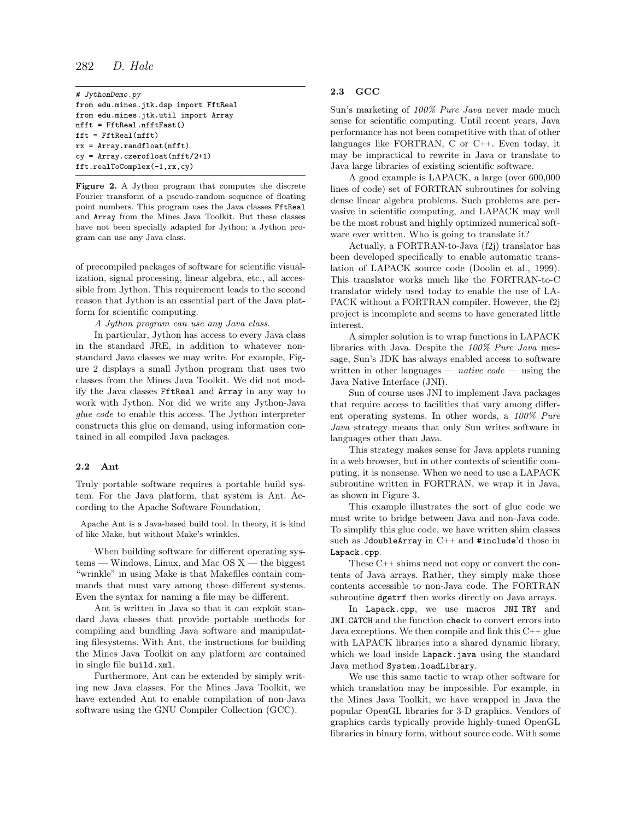## 282 D. Hale

```
# JythonDemo.py
from edu.mines.jtk.dsp import FftReal
from edu.mines.jtk.util import Array
nfft = FftReal.nfftFast()
fft = FftReal(nfft)
rx = Array.randfloat(nfft)
cy = Array.czerofloat(nfft/2+1)
fft.realToComplex(-1,rx,cy)
```
Figure 2. A Jython program that computes the discrete Fourier transform of a pseudo-random sequence of floating point numbers. This program uses the Java classes FftReal and Array from the Mines Java Toolkit. But these classes have not been specially adapted for Jython; a Jython program can use any Java class.

of precompiled packages of software for scientific visualization, signal processing, linear algebra, etc., all accessible from Jython. This requirement leads to the second reason that Jython is an essential part of the Java platform for scientific computing.

A Jython program can use any Java class.

In particular, Jython has access to every Java class in the standard JRE, in addition to whatever nonstandard Java classes we may write. For example, Figure 2 displays a small Jython program that uses two classes from the Mines Java Toolkit. We did not modify the Java classes FftReal and Array in any way to work with Jython. Nor did we write any Jython-Java glue code to enable this access. The Jython interpreter constructs this glue on demand, using information contained in all compiled Java packages.

#### 2.2 Ant

Truly portable software requires a portable build system. For the Java platform, that system is Ant. According to the Apache Software Foundation,

Apache Ant is a Java-based build tool. In theory, it is kind of like Make, but without Make's wrinkles.

When building software for different operating sys $tems$  — Windows, Linux, and Mac OS  $X$  — the biggest "wrinkle" in using Make is that Makefiles contain commands that must vary among those different systems. Even the syntax for naming a file may be different.

Ant is written in Java so that it can exploit standard Java classes that provide portable methods for compiling and bundling Java software and manipulating filesystems. With Ant, the instructions for building the Mines Java Toolkit on any platform are contained in single file build.xml.

Furthermore, Ant can be extended by simply writing new Java classes. For the Mines Java Toolkit, we have extended Ant to enable compilation of non-Java software using the GNU Compiler Collection (GCC).

## 2.3 GCC

Sun's marketing of 100% Pure Java never made much sense for scientific computing. Until recent years, Java performance has not been competitive with that of other languages like FORTRAN, C or C++. Even today, it may be impractical to rewrite in Java or translate to Java large libraries of existing scientific software.

A good example is LAPACK, a large (over 600,000 lines of code) set of FORTRAN subroutines for solving dense linear algebra problems. Such problems are pervasive in scientific computing, and LAPACK may well be the most robust and highly optimized numerical software ever written. Who is going to translate it?

Actually, a FORTRAN-to-Java (f2j) translator has been developed specifically to enable automatic translation of LAPACK source code (Doolin et al., 1999). This translator works much like the FORTRAN-to-C translator widely used today to enable the use of LA-PACK without a FORTRAN compiler. However, the f2j project is incomplete and seems to have generated little interest.

A simpler solution is to wrap functions in LAPACK libraries with Java. Despite the 100% Pure Java message, Sun's JDK has always enabled access to software written in other languages — *native code* — using the Java Native Interface (JNI).

Sun of course uses JNI to implement Java packages that require access to facilities that vary among different operating systems. In other words, a 100% Pure Java strategy means that only Sun writes software in languages other than Java.

This strategy makes sense for Java applets running in a web browser, but in other contexts of scientific computing, it is nonsense. When we need to use a LAPACK subroutine written in FORTRAN, we wrap it in Java, as shown in Figure 3.

This example illustrates the sort of glue code we must write to bridge between Java and non-Java code. To simplify this glue code, we have written shim classes such as JdoubleArray in C++ and #include'd those in Lapack.cpp.

These C++ shims need not copy or convert the contents of Java arrays. Rather, they simply make those contents accessible to non-Java code. The FORTRAN subroutine dgetrf then works directly on Java arrays.

In Lapack.cpp, we use macros JNI TRY and JNI CATCH and the function check to convert errors into Java exceptions. We then compile and link this  $C++$  glue with LAPACK libraries into a shared dynamic library, which we load inside Lapack.java using the standard Java method System.loadLibrary.

We use this same tactic to wrap other software for which translation may be impossible. For example, in the Mines Java Toolkit, we have wrapped in Java the popular OpenGL libraries for 3-D graphics. Vendors of graphics cards typically provide highly-tuned OpenGL libraries in binary form, without source code. With some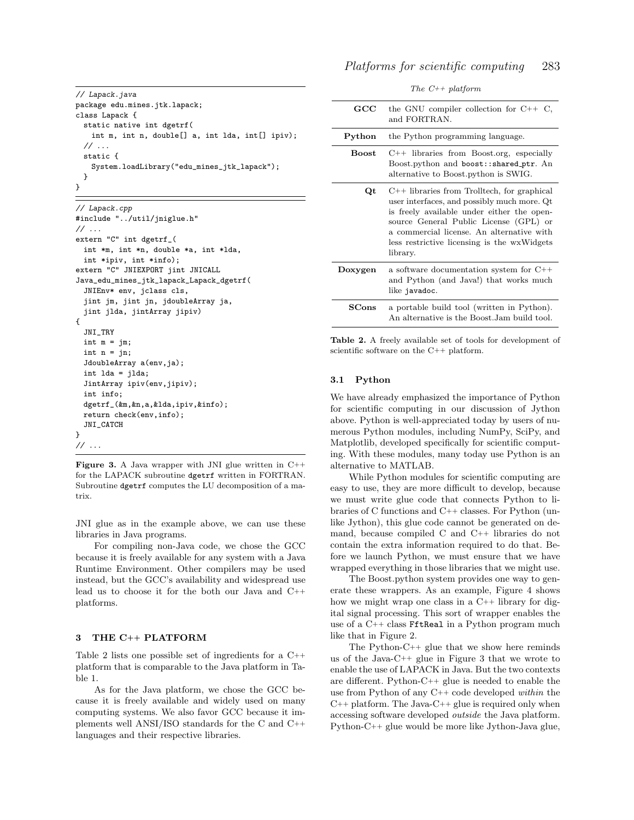```
// Lapack.java
package edu.mines.jtk.lapack;
class Lapack {
  static native int dgetrf(
   int m, int n, double[] a, int lda, int[] ipiv);
 // ...
 static {
   System.loadLibrary("edu_mines_jtk_lapack");
 }
}
```

```
// Lapack.cpp
#include "../util/jniglue.h"
// ...
extern "C" int dgetrf_(
 int *m, int *n, double *a, int *lda,
 int *ipiv, int *info);
extern "C" JNIEXPORT jint JNICALL
Java_edu_mines_jtk_lapack_Lapack_dgetrf(
  JNIEnv* env, jclass cls,
  jint jm, jint jn, jdoubleArray ja,
 jint jlda, jintArray jipiv)
{
  JNI_TRY
 int m = im:
  int n = jn;
  JdoubleArray a(env,ja);
 int lda = jlda;
 JintArray ipiv(env,jipiv);
 int info;
 dgetrf_(&m,&n,a,&lda,ipiv,&info);
 return check(env,info);
 JNI_CATCH
}
// ...
```
**Figure 3.** A Java wrapper with JNI glue written in  $C++$ for the LAPACK subroutine dgetrf written in FORTRAN. Subroutine dgetrf computes the LU decomposition of a matrix.

JNI glue as in the example above, we can use these libraries in Java programs.

For compiling non-Java code, we chose the GCC because it is freely available for any system with a Java Runtime Environment. Other compilers may be used instead, but the GCC's availability and widespread use lead us to choose it for the both our Java and C++ platforms.

#### 3 THE C++ PLATFORM

Table 2 lists one possible set of ingredients for a C++ platform that is comparable to the Java platform in Table 1.

As for the Java platform, we chose the GCC because it is freely available and widely used on many computing systems. We also favor GCC because it implements well ANSI/ISO standards for the C and C++ languages and their respective libraries.

|  |  | The $C^{++}$ platform |
|--|--|-----------------------|
|--|--|-----------------------|

| $_{\rm GCC}$           | the GNU compiler collection for $C++C$ ,<br>and FORTRAN.                                                                                                                                                                                                                                     |
|------------------------|----------------------------------------------------------------------------------------------------------------------------------------------------------------------------------------------------------------------------------------------------------------------------------------------|
| Python                 | the Python programming language.                                                                                                                                                                                                                                                             |
| <b>Boost</b>           | $C++$ libraries from Boost.org, especially<br>Boost.python and boost::shared_ptr. An<br>alternative to Boost.python is SWIG.                                                                                                                                                                 |
| Qt                     | $C++$ libraries from Trolltech, for graphical<br>user interfaces, and possibly much more. Qt<br>is freely available under either the open-<br>source General Public License (GPL) or<br>a commercial license. An alternative with<br>less restrictive licensing is the wxWidgets<br>library. |
| Doxygen                | a software documentation system for C++<br>and Python (and Java!) that works much<br>like javadoc.                                                                                                                                                                                           |
| $\operatorname{SCons}$ | a portable build tool (written in Python).<br>An alternative is the Boost. Jam build tool.                                                                                                                                                                                                   |

Table 2. A freely available set of tools for development of scientific software on the C++ platform.

#### 3.1 Python

We have already emphasized the importance of Python for scientific computing in our discussion of Jython above. Python is well-appreciated today by users of numerous Python modules, including NumPy, SciPy, and Matplotlib, developed specifically for scientific computing. With these modules, many today use Python is an alternative to MATLAB.

While Python modules for scientific computing are easy to use, they are more difficult to develop, because we must write glue code that connects Python to libraries of C functions and C++ classes. For Python (unlike Jython), this glue code cannot be generated on demand, because compiled C and C++ libraries do not contain the extra information required to do that. Before we launch Python, we must ensure that we have wrapped everything in those libraries that we might use.

The Boost.python system provides one way to generate these wrappers. As an example, Figure 4 shows how we might wrap one class in a C++ library for digital signal processing. This sort of wrapper enables the use of a C++ class FftReal in a Python program much like that in Figure 2.

The Python-C++ glue that we show here reminds us of the Java-C++ glue in Figure 3 that we wrote to enable the use of LAPACK in Java. But the two contexts are different. Python-C++ glue is needed to enable the use from Python of any C++ code developed within the  $C_{++}$  platform. The Java- $C_{++}$  glue is required only when accessing software developed outside the Java platform. Python-C++ glue would be more like Jython-Java glue,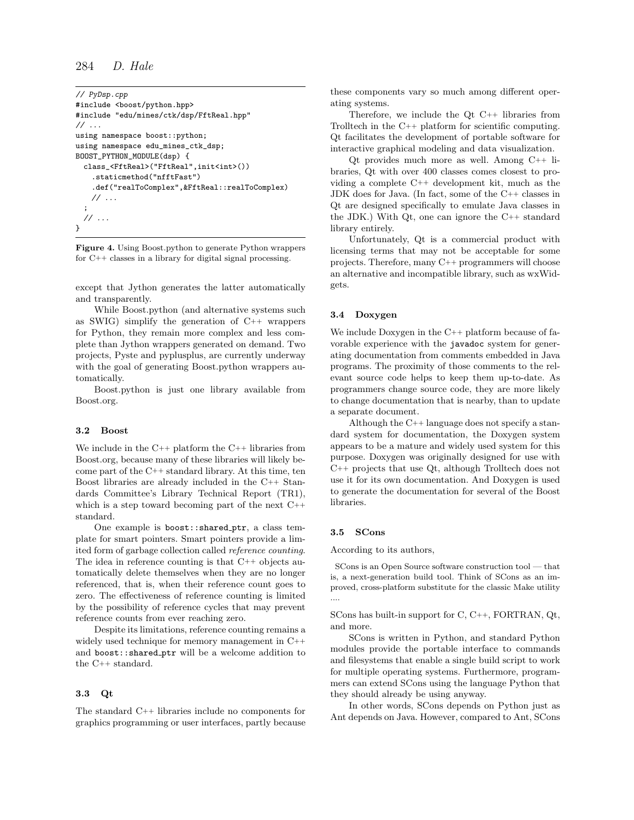```
284 D. Hale
```

```
// PyDsp.cpp
#include <boost/python.hpp>
#include "edu/mines/ctk/dsp/FftReal.hpp"
// ...
using namespace boost::python;
using namespace edu_mines_ctk_dsp;
BOOST_PYTHON_MODULE(dsp) {
 class_<FftReal>("FftReal",init<int>())
    .staticmethod("nfftFast")
    .def("realToComplex",&FftReal::realToComplex)
   // ...
  ;
  // ...
}
```
Figure 4. Using Boost.python to generate Python wrappers for C++ classes in a library for digital signal processing.

except that Jython generates the latter automatically and transparently.

While Boost.python (and alternative systems such as SWIG) simplify the generation of C++ wrappers for Python, they remain more complex and less complete than Jython wrappers generated on demand. Two projects, Pyste and pyplusplus, are currently underway with the goal of generating Boost.python wrappers automatically.

Boost.python is just one library available from Boost.org.

#### 3.2 Boost

We include in the C++ platform the C++ libraries from Boost.org, because many of these libraries will likely become part of the C++ standard library. At this time, ten Boost libraries are already included in the C++ Standards Committee's Library Technical Report (TR1), which is a step toward becoming part of the next C++ standard.

One example is boost:: shared\_ptr, a class template for smart pointers. Smart pointers provide a limited form of garbage collection called reference counting. The idea in reference counting is that C++ objects automatically delete themselves when they are no longer referenced, that is, when their reference count goes to zero. The effectiveness of reference counting is limited by the possibility of reference cycles that may prevent reference counts from ever reaching zero.

Despite its limitations, reference counting remains a widely used technique for memory management in C++ and boost::shared\_ptr will be a welcome addition to the C++ standard.

#### 3.3 Qt

The standard C++ libraries include no components for graphics programming or user interfaces, partly because these components vary so much among different operating systems.

Therefore, we include the Qt C++ libraries from Trolltech in the C++ platform for scientific computing. Qt facilitates the development of portable software for interactive graphical modeling and data visualization.

Qt provides much more as well. Among C++ libraries, Qt with over 400 classes comes closest to providing a complete C++ development kit, much as the JDK does for Java. (In fact, some of the C++ classes in Qt are designed specifically to emulate Java classes in the JDK.) With Qt, one can ignore the C++ standard library entirely.

Unfortunately, Qt is a commercial product with licensing terms that may not be acceptable for some projects. Therefore, many C++ programmers will choose an alternative and incompatible library, such as wxWidgets.

## 3.4 Doxygen

We include Doxygen in the C<sup>++</sup> platform because of favorable experience with the javadoc system for generating documentation from comments embedded in Java programs. The proximity of those comments to the relevant source code helps to keep them up-to-date. As programmers change source code, they are more likely to change documentation that is nearby, than to update a separate document.

Although the C++ language does not specify a standard system for documentation, the Doxygen system appears to be a mature and widely used system for this purpose. Doxygen was originally designed for use with C++ projects that use Qt, although Trolltech does not use it for its own documentation. And Doxygen is used to generate the documentation for several of the Boost libraries.

#### 3.5 SCons

According to its authors,

SCons is an Open Source software construction tool — that is, a next-generation build tool. Think of SCons as an improved, cross-platform substitute for the classic Make utility ....

SCons has built-in support for C, C++, FORTRAN, Qt, and more.

SCons is written in Python, and standard Python modules provide the portable interface to commands and filesystems that enable a single build script to work for multiple operating systems. Furthermore, programmers can extend SCons using the language Python that they should already be using anyway.

In other words, SCons depends on Python just as Ant depends on Java. However, compared to Ant, SCons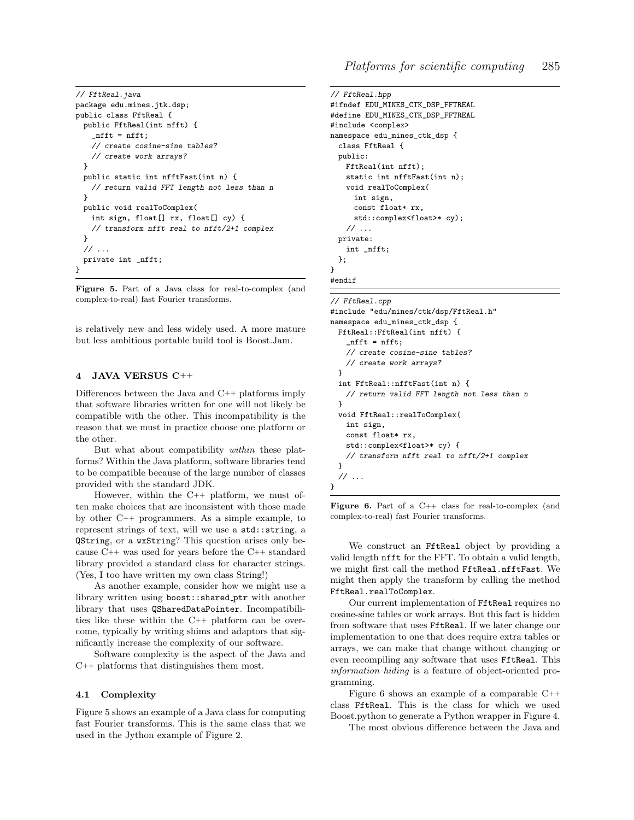```
// FftReal.java
package edu.mines.jtk.dsp;
public class FftReal {
  public FftReal(int nfft) {
   nfft = nfft;
   // create cosine-sine tables?
   // create work arrays?
 }
 public static int nfftFast(int n) {
   // return valid FFT length not less than n
 }
 public void realToComplex(
   int sign, float[] rx, float[] cy) {
   // transform nfft real to nfft/2+1 complex
 }
  \frac{1}{2}...
 private int _nfft;
}
```
Figure 5. Part of a Java class for real-to-complex (and complex-to-real) fast Fourier transforms.

is relatively new and less widely used. A more mature but less ambitious portable build tool is Boost.Jam.

## 4 JAVA VERSUS C++

Differences between the Java and C++ platforms imply that software libraries written for one will not likely be compatible with the other. This incompatibility is the reason that we must in practice choose one platform or the other.

But what about compatibility within these platforms? Within the Java platform, software libraries tend to be compatible because of the large number of classes provided with the standard JDK.

However, within the C++ platform, we must often make choices that are inconsistent with those made by other C++ programmers. As a simple example, to represent strings of text, will we use a std::string, a QString, or a wxString? This question arises only because C++ was used for years before the C++ standard library provided a standard class for character strings. (Yes, I too have written my own class String!)

As another example, consider how we might use a library written using boost::shared ptr with another library that uses QSharedDataPointer. Incompatibilities like these within the C++ platform can be overcome, typically by writing shims and adaptors that significantly increase the complexity of our software.

Software complexity is the aspect of the Java and C++ platforms that distinguishes them most.

## 4.1 Complexity

Figure 5 shows an example of a Java class for computing fast Fourier transforms. This is the same class that we used in the Jython example of Figure 2.

```
// FftReal.hpp
#ifndef EDU_MINES_CTK_DSP_FFTREAL
#define EDU_MINES_CTK_DSP_FFTREAL
#include <complex>
namespace edu_mines_ctk_dsp {
 class FftReal {
 public:
   FftReal(int nfft);
   static int nfftFast(int n);
   void realToComplex(
     int sign,
     const float* rx,
     std::complex<float>* cy);
    // ...
 private:
   int _nfft;
```
}; }

## #endif

#### // FftReal.cpp

```
#include "edu/mines/ctk/dsp/FftReal.h"
namespace edu_mines_ctk_dsp {
 FftReal::FftReal(int nfft) {
    _{\text{nfft}} = \text{nfft};// create cosine-sine tables?
    // create work arrays?
  }
  int FftReal::nfftFast(int n) {
    // return valid FFT length not less than n
  }
 void FftReal::realToComplex(
   int sign,
    const float* rx,
    std::complex<float>* cy) {
    // transform nfft real to nfft/2+1 complex
  }
  // ...
}
```
**Figure 6.** Part of a  $C++$  class for real-to-complex (and complex-to-real) fast Fourier transforms.

We construct an FftReal object by providing a valid length nfft for the FFT. To obtain a valid length, we might first call the method FftReal.nfftFast. We might then apply the transform by calling the method FftReal.realToComplex.

Our current implementation of FftReal requires no cosine-sine tables or work arrays. But this fact is hidden from software that uses FftReal. If we later change our implementation to one that does require extra tables or arrays, we can make that change without changing or even recompiling any software that uses FftReal. This information hiding is a feature of object-oriented programming.

Figure 6 shows an example of a comparable C++ class FftReal. This is the class for which we used Boost.python to generate a Python wrapper in Figure 4.

The most obvious difference between the Java and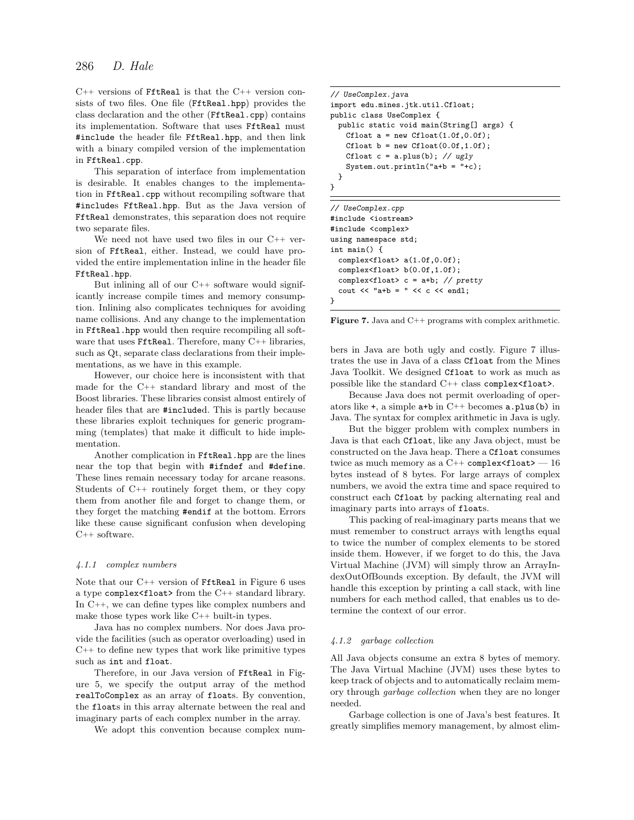C++ versions of FftReal is that the C++ version consists of two files. One file (FftReal.hpp) provides the class declaration and the other (FftReal.cpp) contains its implementation. Software that uses FftReal must #include the header file FftReal.hpp, and then link with a binary compiled version of the implementation in FftReal.cpp.

This separation of interface from implementation is desirable. It enables changes to the implementation in FftReal.cpp without recompiling software that #includes FftReal.hpp. But as the Java version of FftReal demonstrates, this separation does not require two separate files.

We need not have used two files in our C++ version of FftReal, either. Instead, we could have provided the entire implementation inline in the header file FftReal.hpp.

But inlining all of our C++ software would significantly increase compile times and memory consumption. Inlining also complicates techniques for avoiding name collisions. And any change to the implementation in FftReal.hpp would then require recompiling all software that uses **FftReal**. Therefore, many C++ libraries, such as Qt, separate class declarations from their implementations, as we have in this example.

However, our choice here is inconsistent with that made for the C++ standard library and most of the Boost libraries. These libraries consist almost entirely of header files that are #included. This is partly because these libraries exploit techniques for generic programming (templates) that make it difficult to hide implementation.

Another complication in FftReal.hpp are the lines near the top that begin with #ifndef and #define. These lines remain necessary today for arcane reasons. Students of C++ routinely forget them, or they copy them from another file and forget to change them, or they forget the matching #endif at the bottom. Errors like these cause significant confusion when developing C++ software.

#### 4.1.1 complex numbers

Note that our C++ version of FftReal in Figure 6 uses a type complex<float> from the C++ standard library. In C++, we can define types like complex numbers and make those types work like C++ built-in types.

Java has no complex numbers. Nor does Java provide the facilities (such as operator overloading) used in C++ to define new types that work like primitive types such as int and float.

Therefore, in our Java version of FftReal in Figure 5, we specify the output array of the method realToComplex as an array of floats. By convention, the floats in this array alternate between the real and imaginary parts of each complex number in the array.

We adopt this convention because complex num-

```
// UseComplex.java
import edu.mines.jtk.util.Cfloat;
public class UseComplex {
 public static void main(String[] args) {
   Cfloat a = new CHoat(1.0f, 0.0f);Cfloat b = new Cfloat(0.0f, 1.0f);Cfloat c = a.plus(b); // ugly
   System.out.println("a+b = "+c);
 }
}
// UseComplex.cpp
#include <iostream>
#include <complex>
using namespace std;
int main() {
```
complex<float> a(1.0f,0.0f); complex<float> b(0.0f,1.0f); complex<float> c = a+b; // pretty cout  $<<$  "a+b = "  $<<$  c  $<<$  endl;

}

Figure 7. Java and C++ programs with complex arithmetic.

bers in Java are both ugly and costly. Figure 7 illustrates the use in Java of a class Cfloat from the Mines Java Toolkit. We designed Cfloat to work as much as possible like the standard C++ class complex<float>.

Because Java does not permit overloading of operators like  $\pm$ , a simple  $a + b$  in  $C + \pm$  becomes  $a$ . plus(b) in Java. The syntax for complex arithmetic in Java is ugly.

But the bigger problem with complex numbers in Java is that each Cfloat, like any Java object, must be constructed on the Java heap. There a Cfloat consumes twice as much memory as a  $C++$  complex<float>  $-16$ bytes instead of 8 bytes. For large arrays of complex numbers, we avoid the extra time and space required to construct each Cfloat by packing alternating real and imaginary parts into arrays of floats.

This packing of real-imaginary parts means that we must remember to construct arrays with lengths equal to twice the number of complex elements to be stored inside them. However, if we forget to do this, the Java Virtual Machine (JVM) will simply throw an ArrayIndexOutOfBounds exception. By default, the JVM will handle this exception by printing a call stack, with line numbers for each method called, that enables us to determine the context of our error.

#### 4.1.2 garbage collection

All Java objects consume an extra 8 bytes of memory. The Java Virtual Machine (JVM) uses these bytes to keep track of objects and to automatically reclaim memory through garbage collection when they are no longer needed.

Garbage collection is one of Java's best features. It greatly simplifies memory management, by almost elim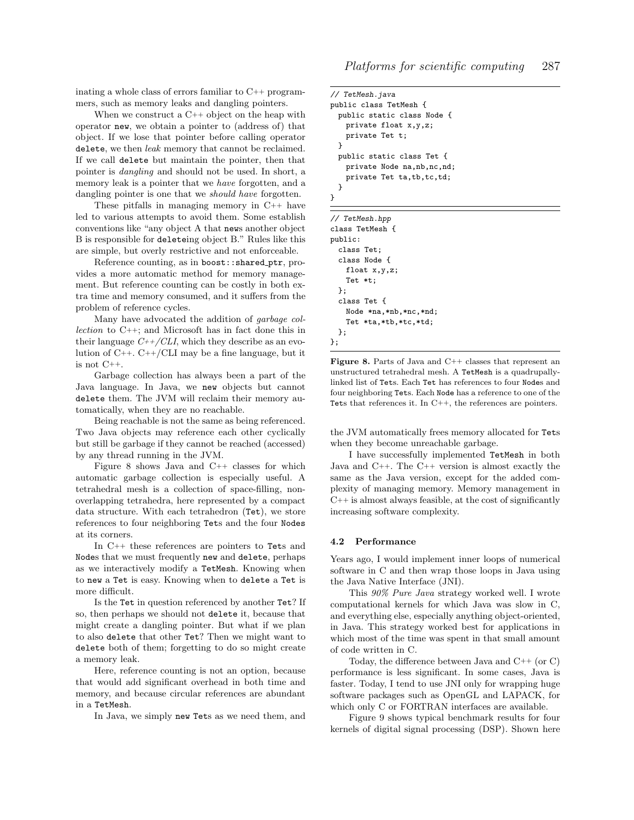inating a whole class of errors familiar to C++ programmers, such as memory leaks and dangling pointers.

When we construct a C++ object on the heap with operator new, we obtain a pointer to (address of) that object. If we lose that pointer before calling operator delete, we then *leak* memory that cannot be reclaimed. If we call delete but maintain the pointer, then that pointer is dangling and should not be used. In short, a memory leak is a pointer that we have forgotten, and a dangling pointer is one that we *should have* forgotten.

These pitfalls in managing memory in C++ have led to various attempts to avoid them. Some establish conventions like "any object A that news another object B is responsible for deleteing object B." Rules like this are simple, but overly restrictive and not enforceable.

Reference counting, as in boost:: shared\_ptr, provides a more automatic method for memory management. But reference counting can be costly in both extra time and memory consumed, and it suffers from the problem of reference cycles.

Many have advocated the addition of garbage collection to C++; and Microsoft has in fact done this in their language  $C++/CLI$ , which they describe as an evolution of  $C++$ .  $C++/CLI$  may be a fine language, but it is not C++.

Garbage collection has always been a part of the Java language. In Java, we new objects but cannot delete them. The JVM will reclaim their memory automatically, when they are no reachable.

Being reachable is not the same as being referenced. Two Java objects may reference each other cyclically but still be garbage if they cannot be reached (accessed) by any thread running in the JVM.

Figure 8 shows Java and C++ classes for which automatic garbage collection is especially useful. A tetrahedral mesh is a collection of space-filling, nonoverlapping tetrahedra, here represented by a compact data structure. With each tetrahedron (Tet), we store references to four neighboring Tets and the four Nodes at its corners.

In C++ these references are pointers to Tets and Nodes that we must frequently new and delete, perhaps as we interactively modify a TetMesh. Knowing when to new a Tet is easy. Knowing when to delete a Tet is more difficult.

Is the Tet in question referenced by another Tet? If so, then perhaps we should not delete it, because that might create a dangling pointer. But what if we plan to also delete that other Tet? Then we might want to delete both of them; forgetting to do so might create a memory leak.

Here, reference counting is not an option, because that would add significant overhead in both time and memory, and because circular references are abundant in a TetMesh.

In Java, we simply new Tets as we need them, and

```
// TetMesh.java
public class TetMesh {
  public static class Node {
   private float x,y,z;
   private Tet t;
  }
  public static class Tet {
   private Node na,nb,nc,nd;
   private Tet ta,tb,tc,td;
 }
}
```

| // TetMesh.hpp        |
|-----------------------|
| class TetMesh {       |
| public:               |
| class Tet;            |
| class Node f          |
| float $x, y, z;$      |
| Tet $*t$ ;            |
| }:                    |
| class Tet f           |
| Node *na,*nb,*nc,*nd; |
| Tet *ta,*tb,*tc,*td;  |
| }:                    |
|                       |

Figure 8. Parts of Java and C++ classes that represent an unstructured tetrahedral mesh. A TetMesh is a quadrupallylinked list of Tets. Each Tet has references to four Nodes and four neighboring Tets. Each Node has a reference to one of the Tets that references it. In C++, the references are pointers.

the JVM automatically frees memory allocated for Tets when they become unreachable garbage.

I have successfully implemented TetMesh in both Java and C++. The C++ version is almost exactly the same as the Java version, except for the added complexity of managing memory. Memory management in  $C_{++}$  is almost always feasible, at the cost of significantly increasing software complexity.

### 4.2 Performance

Years ago, I would implement inner loops of numerical software in C and then wrap those loops in Java using the Java Native Interface (JNI).

This 90% Pure Java strategy worked well. I wrote computational kernels for which Java was slow in C, and everything else, especially anything object-oriented, in Java. This strategy worked best for applications in which most of the time was spent in that small amount of code written in C.

Today, the difference between Java and C++ (or C) performance is less significant. In some cases, Java is faster. Today, I tend to use JNI only for wrapping huge software packages such as OpenGL and LAPACK, for which only C or FORTRAN interfaces are available.

Figure 9 shows typical benchmark results for four kernels of digital signal processing (DSP). Shown here